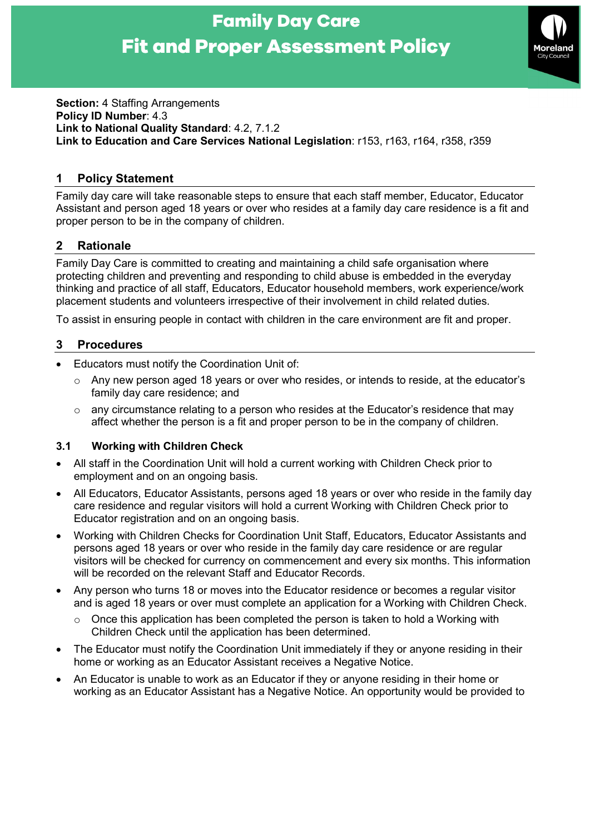# Family Day Care Fit and Proper Assessment Policy



Section: 4 Staffing Arrangements Policy ID Number: 4.3 Link to National Quality Standard: 4.2, 7.1.2 Link to Education and Care Services National Legislation: r153, r163, r164, r358, r359

# 1 Policy Statement

Family day care will take reasonable steps to ensure that each staff member, Educator, Educator Assistant and person aged 18 years or over who resides at a family day care residence is a fit and proper person to be in the company of children.

# 2 Rationale

Family Day Care is committed to creating and maintaining a child safe organisation where protecting children and preventing and responding to child abuse is embedded in the everyday thinking and practice of all staff, Educators, Educator household members, work experience/work placement students and volunteers irrespective of their involvement in child related duties.

To assist in ensuring people in contact with children in the care environment are fit and proper.

### 3 Procedures

- Educators must notify the Coordination Unit of:
	- o Any new person aged 18 years or over who resides, or intends to reside, at the educator's family day care residence; and
	- $\circ$  any circumstance relating to a person who resides at the Educator's residence that may affect whether the person is a fit and proper person to be in the company of children.

#### 3.1 Working with Children Check

- All staff in the Coordination Unit will hold a current working with Children Check prior to employment and on an ongoing basis.
- All Educators, Educator Assistants, persons aged 18 years or over who reside in the family day care residence and regular visitors will hold a current Working with Children Check prior to Educator registration and on an ongoing basis.
- Working with Children Checks for Coordination Unit Staff, Educators, Educator Assistants and persons aged 18 years or over who reside in the family day care residence or are regular visitors will be checked for currency on commencement and every six months. This information will be recorded on the relevant Staff and Educator Records.
- Any person who turns 18 or moves into the Educator residence or becomes a regular visitor and is aged 18 years or over must complete an application for a Working with Children Check.
	- Once this application has been completed the person is taken to hold a Working with Children Check until the application has been determined.
- The Educator must notify the Coordination Unit immediately if they or anyone residing in their home or working as an Educator Assistant receives a Negative Notice.
- An Educator is unable to work as an Educator if they or anyone residing in their home or working as an Educator Assistant has a Negative Notice. An opportunity would be provided to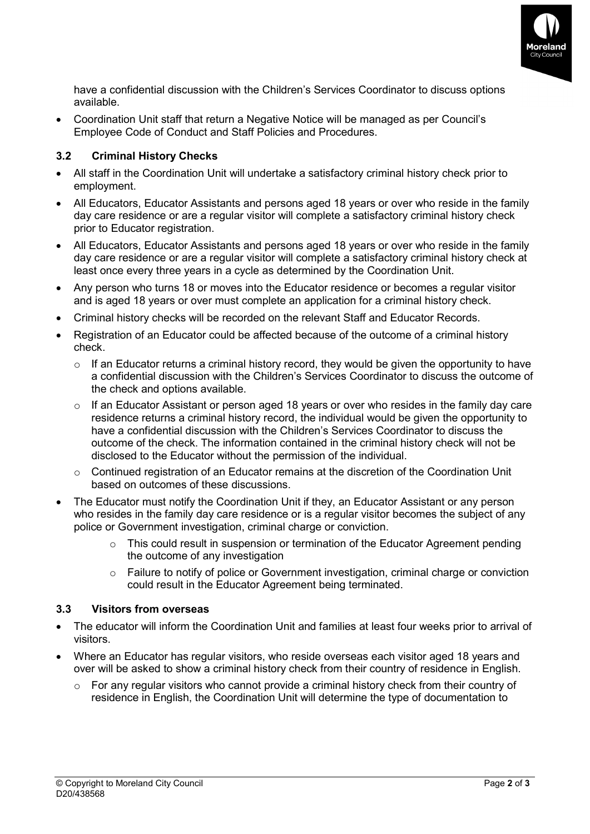

have a confidential discussion with the Children's Services Coordinator to discuss options available.

 Coordination Unit staff that return a Negative Notice will be managed as per Council's Employee Code of Conduct and Staff Policies and Procedures.

#### 3.2 Criminal History Checks

- All staff in the Coordination Unit will undertake a satisfactory criminal history check prior to employment.
- All Educators, Educator Assistants and persons aged 18 years or over who reside in the family day care residence or are a regular visitor will complete a satisfactory criminal history check prior to Educator registration.
- All Educators, Educator Assistants and persons aged 18 years or over who reside in the family day care residence or are a regular visitor will complete a satisfactory criminal history check at least once every three years in a cycle as determined by the Coordination Unit.
- Any person who turns 18 or moves into the Educator residence or becomes a regular visitor and is aged 18 years or over must complete an application for a criminal history check.
- Criminal history checks will be recorded on the relevant Staff and Educator Records.
- Registration of an Educator could be affected because of the outcome of a criminal history check.
	- $\circ$  If an Educator returns a criminal history record, they would be given the opportunity to have a confidential discussion with the Children's Services Coordinator to discuss the outcome of the check and options available.
	- $\circ$  If an Educator Assistant or person aged 18 years or over who resides in the family day care residence returns a criminal history record, the individual would be given the opportunity to have a confidential discussion with the Children's Services Coordinator to discuss the outcome of the check. The information contained in the criminal history check will not be disclosed to the Educator without the permission of the individual.
	- $\circ$  Continued registration of an Educator remains at the discretion of the Coordination Unit based on outcomes of these discussions.
- The Educator must notify the Coordination Unit if they, an Educator Assistant or any person who resides in the family day care residence or is a regular visitor becomes the subject of any police or Government investigation, criminal charge or conviction.
	- o This could result in suspension or termination of the Educator Agreement pending the outcome of any investigation
	- $\circ$  Failure to notify of police or Government investigation, criminal charge or conviction could result in the Educator Agreement being terminated.

#### 3.3 Visitors from overseas

- The educator will inform the Coordination Unit and families at least four weeks prior to arrival of visitors.
- Where an Educator has regular visitors, who reside overseas each visitor aged 18 years and over will be asked to show a criminal history check from their country of residence in English.
	- $\circ$  For any regular visitors who cannot provide a criminal history check from their country of residence in English, the Coordination Unit will determine the type of documentation to